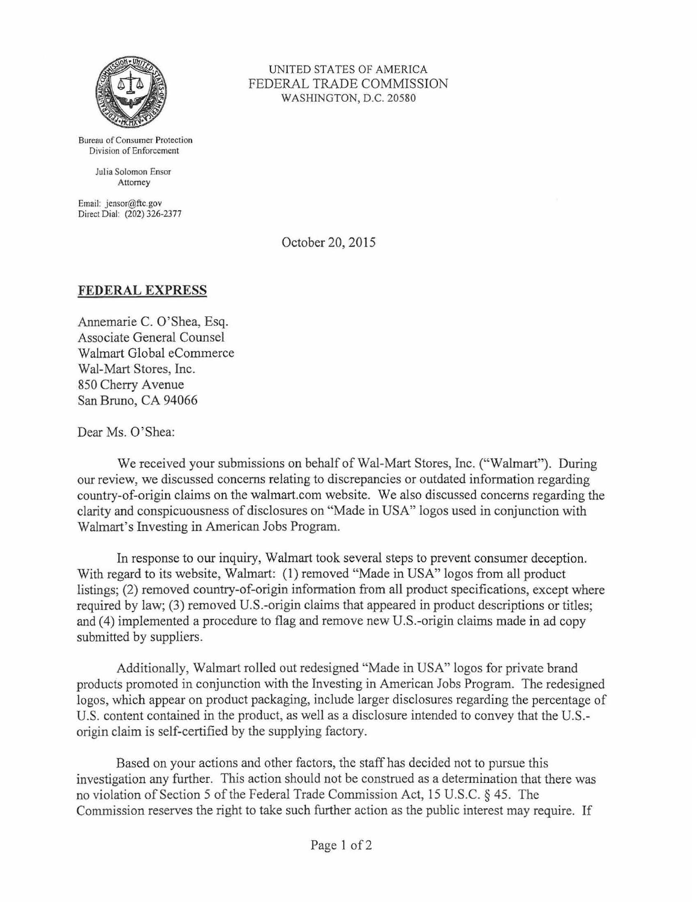

Bureau of Consumer Protection Division of Enforcement

> Julia Solomon Ensor Attorney

Email: jensor@ftc.gov Direct Dial: (202) 326-2377

UNITED STATES OF AMERICA FEDERAL TRADE COMMISSION WASHINGTON, D.C. 20580

October 20, 2015

## **FEDERAL EXPRESS**

Annemarie C. O'Shea, Esq. Associate General Counsel Walmart Global eCommerce Wal-Mart Stores, Inc. 850 Cherry Avenue San Bruno, CA 94066

Dear Ms. O'Shea:

We received your submissions on behalf of Wal-Mart Stores, Inc. ("Walmart"). During our review, we discussed concerns relating to discrepancies or outdated information regarding country-of-origin claims on the walmart.com website. We also discussed concerns regarding the clarity and conspicuousness of disclosures on "Made in USA" logos used in conjunction with Walmart's Investing in American Jobs Program.

In response to our inquiry, Walmart took several steps to prevent consumer deception. With regard to its website, Walmart: (1) removed "Made in USA" logos from all product listings; (2) removed country-of-origin information from all product specifications, except where required by law; (3) removed U.S.-origin claims that appeared in product descriptions or titles; and (4) implemented a procedure to flag and remove new U.S.-origin claims made in ad copy submitted by suppliers.

Additionally, Walmart rolled out redesigned "Made in USA" logos for private brand products promoted in conjunction with the Investing in American Jobs Program. The redesigned logos, which appear on product packaging, include larger disclosures regarding the percentage of U.S. content contained in the product, as well as a disclosure intended to convey that the U.S. origin claim is self-certified by the supplying factory.

Based on your actions and other factors, the staff has decided not to pursue this investigation any further. This action should not be construed as a determination that there was no violation of Section 5 of the Federal Trade Commission Act, 15 U.S.C. § 45. The Commission reserves the right to take such further action as the public interest may require. If